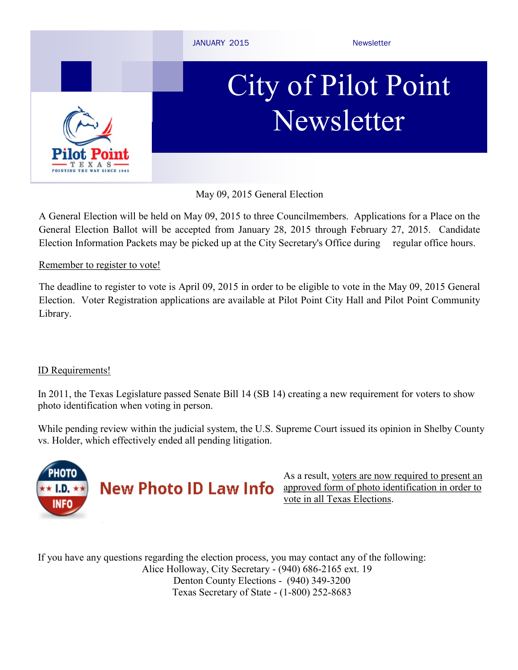

May 09, 2015 General Election

A General Election will be held on May 09, 2015 to three Councilmembers. Applications for a Place on the General Election Ballot will be accepted from January 28, 2015 through February 27, 2015. Candidate Election Information Packets may be picked up at the City Secretary's Office during regular office hours.

#### Remember to register to vote!

The deadline to register to vote is April 09, 2015 in order to be eligible to vote in the May 09, 2015 General Election. Voter Registration applications are available at Pilot Point City Hall and Pilot Point Community Library.

### ID Requirements!

In 2011, the Texas Legislature passed Senate Bill 14 (SB 14) creating a new requirement for voters to show photo identification when voting in person.

While pending review within the judicial system, the U.S. Supreme Court issued its opinion in Shelby County vs. Holder, which effectively ended all pending litigation.



As a result, voters are now required to present an approved form of photo identification in order to vote in all Texas Elections.

If you have any questions regarding the election process, you may contact any of the following: Alice Holloway, City Secretary - (940) 686-2165 ext. 19 Denton County Elections - (940) 349-3200 Texas Secretary of State - (1-800) 252-8683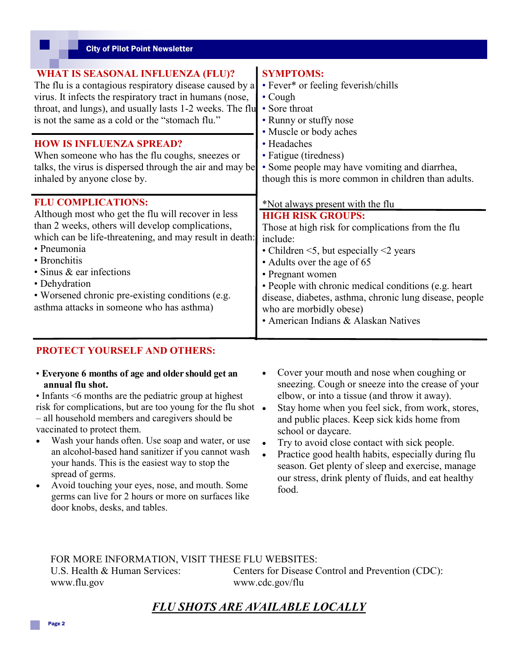| <b>City of Pilot Point Newsletter</b>                                                                                                                                                                                                                                                                                                                                             |                                                                                                                                                                                                                                                                                                                                                                                                                               |
|-----------------------------------------------------------------------------------------------------------------------------------------------------------------------------------------------------------------------------------------------------------------------------------------------------------------------------------------------------------------------------------|-------------------------------------------------------------------------------------------------------------------------------------------------------------------------------------------------------------------------------------------------------------------------------------------------------------------------------------------------------------------------------------------------------------------------------|
| <b>WHAT IS SEASONAL INFLUENZA (FLU)?</b><br>The flu is a contagious respiratory disease caused by a<br>virus. It infects the respiratory tract in humans (nose,<br>throat, and lungs), and usually lasts 1-2 weeks. The flu<br>is not the same as a cold or the "stomach flu."<br><b>HOW IS INFLUENZA SPREAD?</b>                                                                 | <b>SYMPTOMS:</b><br>• Fever* or feeling feverish/chills<br>$\cdot$ Cough<br>• Sore throat<br>• Runny or stuffy nose<br>• Muscle or body aches<br>• Headaches                                                                                                                                                                                                                                                                  |
| When someone who has the flu coughs, sneezes or<br>talks, the virus is dispersed through the air and may be<br>inhaled by anyone close by.                                                                                                                                                                                                                                        | • Fatigue (tiredness)<br>• Some people may have vomiting and diarrhea,<br>though this is more common in children than adults.                                                                                                                                                                                                                                                                                                 |
| <b>FLU COMPLICATIONS:</b><br>Although most who get the flu will recover in less<br>than 2 weeks, others will develop complications,<br>which can be life-threatening, and may result in death:<br>• Pneumonia<br>• Bronchitis<br>$\cdot$ Sinus & ear infections<br>• Dehydration<br>• Worsened chronic pre-existing conditions (e.g.<br>asthma attacks in someone who has asthma) | *Not always present with the flu<br><b>HIGH RISK GROUPS:</b><br>Those at high risk for complications from the flu<br>include:<br>• Children $\leq$ 5, but especially $\leq$ 2 years<br>• Adults over the age of 65<br>• Pregnant women<br>• People with chronic medical conditions (e.g. heart)<br>disease, diabetes, asthma, chronic lung disease, people<br>who are morbidly obese)<br>• American Indians & Alaskan Natives |

#### **PROTECT YOURSELF AND OTHERS:**

• **Everyone 6 months of age and older should get an annual flu shot.** 

• Infants  $\leq 6$  months are the pediatric group at highest risk for complications, but are too young for the flu shot • – all household members and caregivers should be vaccinated to protect them.

- Wash your hands often. Use soap and water, or use an alcohol-based hand sanitizer if you cannot wash your hands. This is the easiest way to stop the spread of germs.
- Avoid touching your eyes, nose, and mouth. Some germs can live for 2 hours or more on surfaces like door knobs, desks, and tables.
- Cover your mouth and nose when coughing or sneezing. Cough or sneeze into the crease of your elbow, or into a tissue (and throw it away).
- Stay home when you feel sick, from work, stores, and public places. Keep sick kids home from school or daycare.
- Try to avoid close contact with sick people.

 Practice good health habits, especially during flu season. Get plenty of sleep and exercise, manage our stress, drink plenty of fluids, and eat healthy food.

FOR MORE INFORMATION, VISIT THESE FLU WEBSITES:

www.flu.gov www.cdc.gov/flu

U.S. Health & Human Services: Centers for Disease Control and Prevention (CDC):

## *FLU SHOTS ARE AVAILABLE LOCALLY*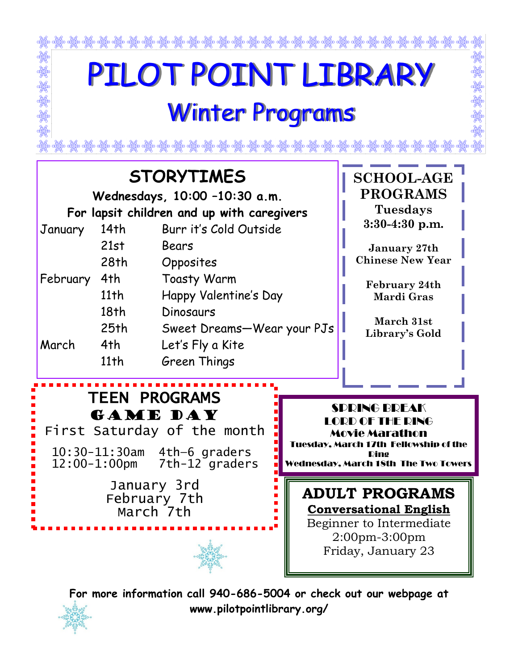

**For more information call 940-686-5004 or check out our webpage at www.pilotpointlibrary.org/**